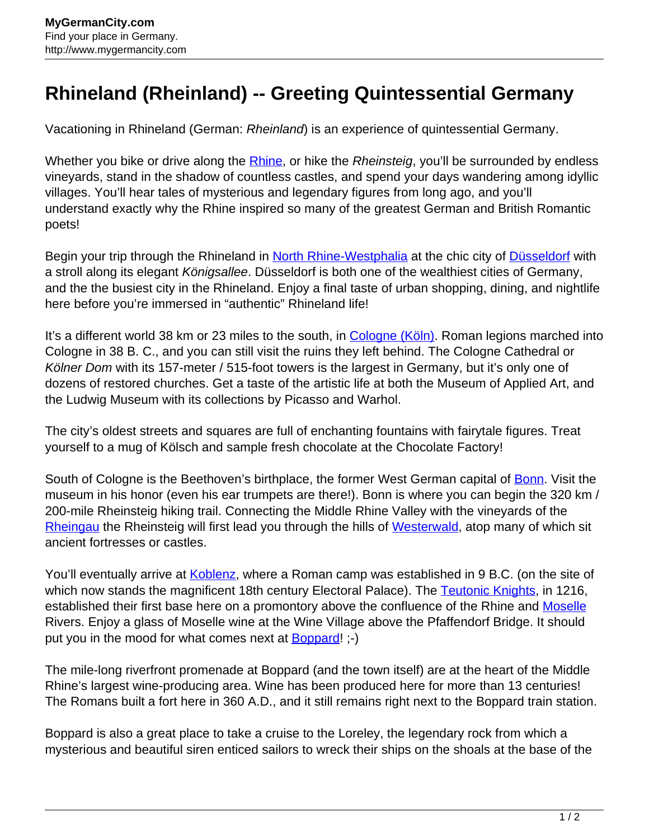## **Rhineland (Rheinland) -- Greeting Quintessential Germany**

Vacationing in Rhineland (German: Rheinland) is an experience of quintessential Germany.

Whether you bike or drive along the **Rhine**, or hike the Rheinsteig, you'll be surrounded by endless vineyards, stand in the shadow of countless castles, and spend your days wandering among idyllic villages. You'll hear tales of mysterious and legendary figures from long ago, and you'll understand exactly why the Rhine inspired so many of the greatest German and British Romantic poets!

Begin your trip through the Rhineland in [North Rhine-Westphalia](http://www.mygermancity.com/north-rhine-westphalia) at the chic city of [Düsseldorf](http://www.mygermancity.com/duesseldorf) with a stroll along its elegant Königsallee. Düsseldorf is both one of the wealthiest cities of Germany, and the the busiest city in the Rhineland. Enjoy a final taste of urban shopping, dining, and nightlife here before you're immersed in "authentic" Rhineland life!

It's a different world 38 km or 23 miles to the south, in [Cologne \(Köln\).](http://www.mygermancity.com/cologne) Roman legions marched into Cologne in 38 B. C., and you can still visit the ruins they left behind. The Cologne Cathedral or Kölner Dom with its 157-meter / 515-foot towers is the largest in Germany, but it's only one of dozens of restored churches. Get a taste of the artistic life at both the Museum of Applied Art, and the Ludwig Museum with its collections by Picasso and Warhol.

The city's oldest streets and squares are full of enchanting fountains with fairytale figures. Treat yourself to a mug of Kölsch and sample fresh chocolate at the Chocolate Factory!

South of Cologne is the Beethoven's birthplace, the former West German capital of **Bonn**. Visit the museum in his honor (even his ear trumpets are there!). Bonn is where you can begin the 320 km / 200-mile Rheinsteig hiking trail. Connecting the Middle Rhine Valley with the vineyards of the [Rheingau](http://www.mygermancity.com/rheingau) the Rheinsteig will first lead you through the hills of [Westerwald,](http://www.mygermancity.com/westerwald) atop many of which sit ancient fortresses or castles.

You'll eventually arrive at [Koblenz,](http://www.mygermancity.com/koblenz) where a Roman camp was established in 9 B.C. (on the site of which now stands the magnificent 18th century Electoral Palace). The [Teutonic Knights](http://www.mygermancity.com/teutonic-knights), in 1216, established their first base here on a promontory above the confluence of the Rhine and [Moselle](http://www.mygermancity.com/moselle) Rivers. Enjoy a glass of Moselle wine at the Wine Village above the Pfaffendorf Bridge. It should put you in the mood for what comes next at **Boppard!** ;-)

The mile-long riverfront promenade at Boppard (and the town itself) are at the heart of the Middle Rhine's largest wine-producing area. Wine has been produced here for more than 13 centuries! The Romans built a fort here in 360 A.D., and it still remains right next to the Boppard train station.

Boppard is also a great place to take a cruise to the Loreley, the legendary rock from which a mysterious and beautiful siren enticed sailors to wreck their ships on the shoals at the base of the